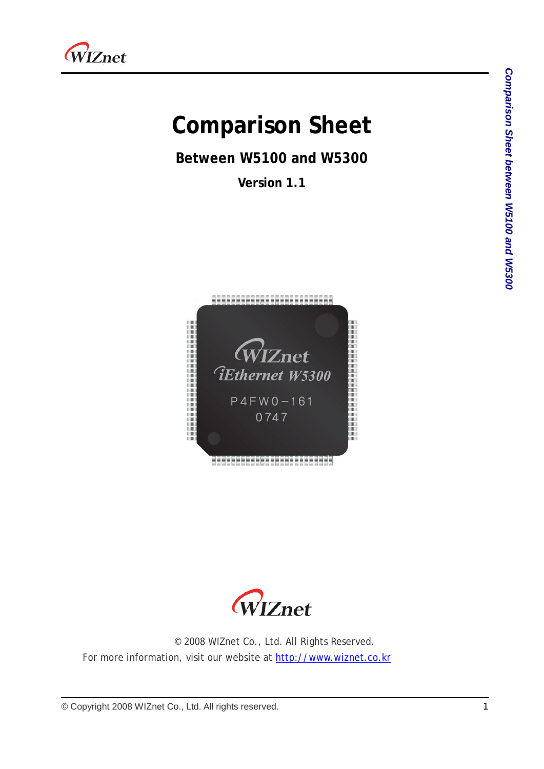

# **Comparison Sheet**

**Between W5100 and W5300**

**Version 1.1**





© 2008 WIZnet Co., Ltd. All Rights Reserved. For more information, visit our website at [http://www.wiznet.co.kr](http://www.wiznet.co.kr/)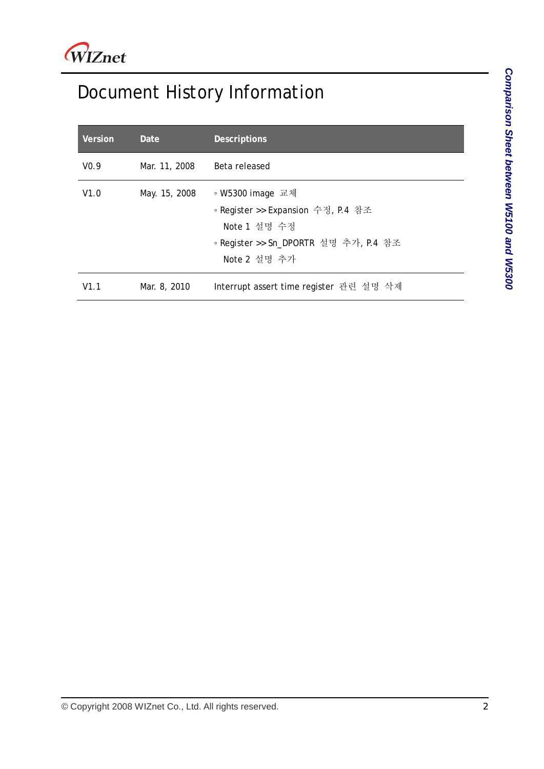## Document History Information

| Version          | Date          | <b>Descriptions</b>                                                                                                             |
|------------------|---------------|---------------------------------------------------------------------------------------------------------------------------------|
| V <sub>0.9</sub> | Mar. 11, 2008 | Beta released                                                                                                                   |
| V1.0             | May. 15, 2008 | ◦ W5300 image 교체<br>◦ Register >> Expansion 수정, P.4 참조<br>Note 1 설명 수정<br>◦ Register >> Sn_DPORTR 설명 추가, P.4 참조<br>Note 2 설명 추가 |
| V1.1             | Mar. 8, 2010  | Interrupt assert time register 관련 설명 삭제                                                                                         |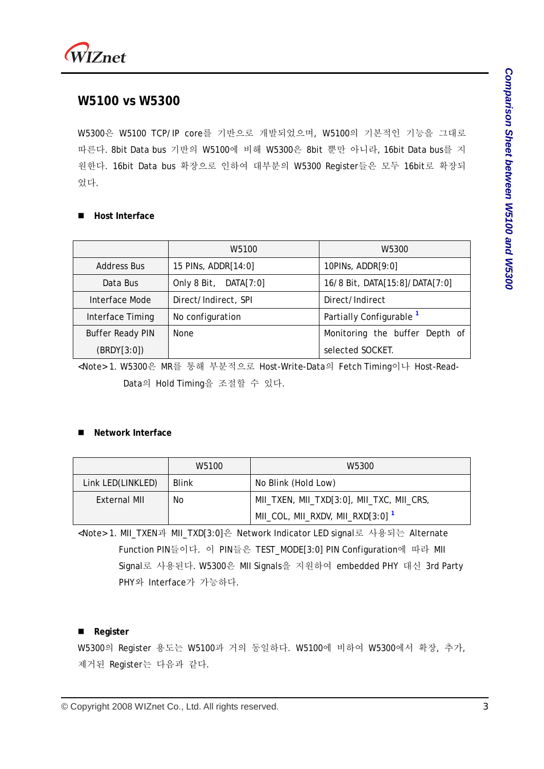

### **W5100 vs W5300**

W5300은 W5100 TCP/IP core를 기반으로 개발되었으며, W5100의 기본적인 기능을 그대로 따른다. 8bit Data bus 기반의 W5100에 비해 W5300은 8bit 뿐만 아니라, 16bit Data bus를 지 원한다. 16bit Data bus 확장으로 인하여 대부분의 W5300 Register들은 모두 16bit로 확장되 었다.

#### **Host Interface**

|                         | W5100                 | W5300                               |
|-------------------------|-----------------------|-------------------------------------|
| Address Bus             | 15 PINs, ADDR[14:0]   | 10PINs, $ADDR[9:0]$                 |
| Data Bus                | Only 8 Bit, DATA[7:0] | 16/8 Bit, DATA[15:8]/DATA[7:0]      |
| Interface Mode          | Direct/Indirect, SPI  | Direct/Indirect                     |
| Interface Timing        | No configuration      | Partially Configurable <sup>1</sup> |
| <b>Buffer Ready PIN</b> | None                  | Monitoring the buffer Depth of      |
| (BRDY[3:0])             |                       | selected SOCKET.                    |

<Note> 1. W5300은 MR를 통해 부분적으로 Host-Write-Data의 Fetch Timing이나 Host-Read-Data의 Hold Timing을 조절할 수 있다.

#### **Network Interface**

|                     | W5100        | W5300                                        |
|---------------------|--------------|----------------------------------------------|
| Link LED(LINKLED)   | <b>Blink</b> | No Blink (Hold Low)                          |
| No.<br>External MII |              | MII_TXEN, MII_TXD[3:0], MII_TXC, MII_CRS,    |
|                     |              | MII_COL, MII_RXDV, MII_RXD[3:0] <sup>1</sup> |

<Note> 1. MII\_TXEN과 MII\_TXD[3:0]은 Network Indicator LED signal로 사용되는 Alternate Function PIN들이다. 이 PIN들은 TEST\_MODE[3:0] PIN Configuration에 따라 MII Signal로 사용된다. W5300은 MII Signals을 지원하여 embedded PHY 대신 3rd Party PHY와 Interface가 가능하다.

#### ■ Register

W5300의 Register 용도는 W5100과 거의 동일하다. W5100에 비하여 W5300에서 확장, 추가, 제거된 Register는 다음과 같다.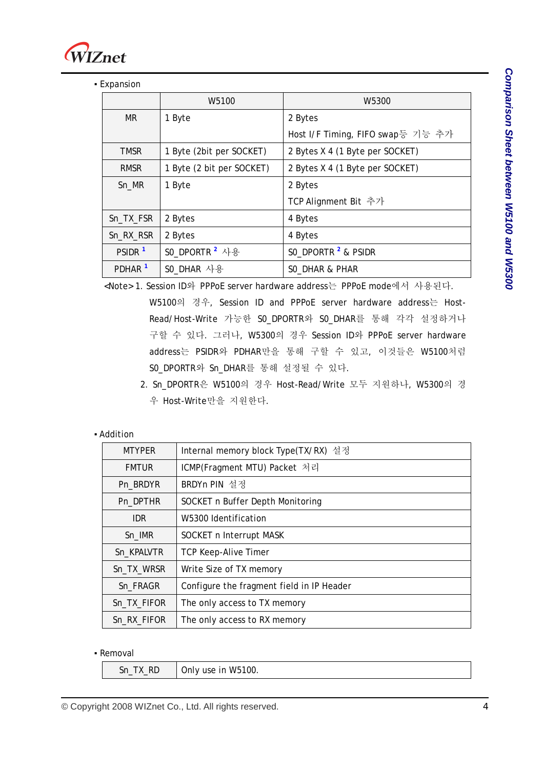

**Expansion** 

|                    | W5100                     | W <sub>5300</sub>                 |
|--------------------|---------------------------|-----------------------------------|
| <b>MR</b>          | 1 Byte                    | 2 Bytes                           |
|                    |                           | Host I/F Timing, FIFO swap등 기능 추가 |
| <b>TMSR</b>        | 1 Byte (2bit per SOCKET)  | 2 Bytes X 4 (1 Byte per SOCKET)   |
| <b>RMSR</b>        | 1 Byte (2 bit per SOCKET) | 2 Bytes X 4 (1 Byte per SOCKET)   |
| Sn_MR              | 1 Byte                    | 2 Bytes                           |
|                    |                           | TCP Alignment Bit 추가              |
| Sn_TX_FSR          | 2 Bytes                   | 4 Bytes                           |
| Sn_RX_RSR          | 2 Bytes                   | 4 Bytes                           |
| PSIDR <sup>1</sup> | SO_DPORTR <sup>2</sup> 사용 | SO_DPORTR <sup>2</sup> & PSIDR    |
| PDHAR <sup>1</sup> | SO_DHAR 사용                | SO_DHAR & PHAR                    |

<Note> 1. Session ID와 PPPoE server hardware address는 PPPoE mode에서 사용된다.

W5100의 경우, Session ID and PPPoE server hardware address는 Host-Read/Host-Write 가능한 S0\_DPORTR와 S0\_DHAR를 통해 각각 설정하거나 구할 수 있다. 그러나, W5300의 경우 Session ID와 PPPoE server hardware address는 PSIDR와 PDHAR만을 통해 구할 수 있고, 이것들은 W5100처럼 S0\_DPORTR와 Sn\_DHAR를 통해 설정될 수 있다.

 2. Sn\_DPORTR은 W5100의 경우 Host-Read/Write 모두 지원하나, W5300의 경 우 Host-Write만을 지원한다.

#### ▪ Addition

| <b>MTYPER</b> | Internal memory block Type(TX/RX) 설정      |  |  |
|---------------|-------------------------------------------|--|--|
| <b>FMTUR</b>  | ICMP(Fragment MTU) Packet 처리              |  |  |
| Pn_BRDYR      | BRDYn PIN 설정                              |  |  |
| Pn_DPTHR      | SOCKET n Buffer Depth Monitoring          |  |  |
| IDR.          | W5300 Identification                      |  |  |
| Sn_IMR        | SOCKET n Interrupt MASK                   |  |  |
| Sn_KPALVTR    | <b>TCP Keep-Alive Timer</b>               |  |  |
| Sn_TX_WRSR    | Write Size of TX memory                   |  |  |
| Sn_FRAGR      | Configure the fragment field in IP Header |  |  |
| Sn_TX_FIFOR   | The only access to TX memory              |  |  |
| Sn_RX_FIFOR   | The only access to RX memory              |  |  |

▪ Removal

| RD<br>$\mathbf{r}$<br>__ | use in W5100.<br>$\sqrt{2}$<br>JNIV. |
|--------------------------|--------------------------------------|
|                          |                                      |

© Copyright 2008 WIZnet Co., Ltd. All rights reserved. 4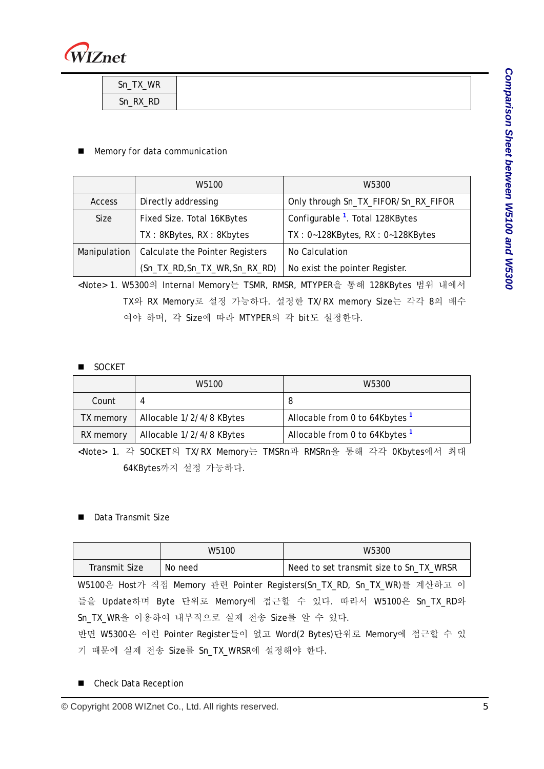

| Sn_TX_WR |
|----------|
| Sn_RX_RD |

#### **Memory for data communication**

|              | W <sub>5100</sub>               | W5300                                       |
|--------------|---------------------------------|---------------------------------------------|
| Access       | Directly addressing             | Only through Sn_TX_FIFOR/Sn_RX_FIFOR        |
| Size         | Fixed Size. Total 16KBytes      | Configurable <sup>1</sup> . Total 128KBytes |
|              | TX: 8KBytes, RX: 8Kbytes        | $TX: 0-128KBytes, RX: 0-128KBytes$          |
| Manipulation | Calculate the Pointer Registers | No Calculation                              |
|              | (Sn_TX_RD, Sn_TX_WR, Sn_RX_RD)  | No exist the pointer Register.              |

<Note> 1. W5300의 Internal Memory는 TSMR, RMSR, MTYPER을 통해 128KBytes 범위 내에서 TX와 RX Memory로 설정 가능하다. 설정한 TX/RX memory Size는 각각 8의 배수 여야 하며, 각 Size에 따라 MTYPER의 각 bit도 설정한다.

#### SOCKET

|           | W5100                    | W5300                                     |
|-----------|--------------------------|-------------------------------------------|
| Count     |                          | -8                                        |
| TX memory | Allocable 1/2/4/8 KBytes | Allocable from 0 to 64Kbytes <sup>1</sup> |
| RX memory | Allocable 1/2/4/8 KBytes | Allocable from 0 to 64Kbytes <sup>1</sup> |

<Note> 1. 각 SOCKET의 TX/RX Memory는 TMSRn과 RMSRn을 통해 각각 0Kbytes에서 최대 64KBytes까지 설정 가능하다.

#### Data Transmit Size

|                                                                     | W5100                                                                   | W5300                                   |  |
|---------------------------------------------------------------------|-------------------------------------------------------------------------|-----------------------------------------|--|
| Transmit Size                                                       | No need                                                                 | Need to set transmit size to Sn_TX_WRSR |  |
|                                                                     | W5100은 Host가 직접 Memory 관련 Pointer Registers(Sn_TX_RD, Sn_TX_WR)를 계산하고 이 |                                         |  |
| 들을 Update하며 Byte 단위로 Memory에 접근할 수 있다. 따라서 W5100은 Sn_TX_RD와         |                                                                         |                                         |  |
| Sn TX WR을 이용하여 내부적으로 실제 전송 Size를 알 수 있다.                            |                                                                         |                                         |  |
| 반면 W5300은 이런 Pointer Register들이 없고 Word(2 Bytes)단위로 Memory에 접근할 수 있 |                                                                         |                                         |  |
| 기 때문에 실제 전송 Size를 Sn_TX_WRSR에 설정해야 한다.                              |                                                                         |                                         |  |

■ Check Data Reception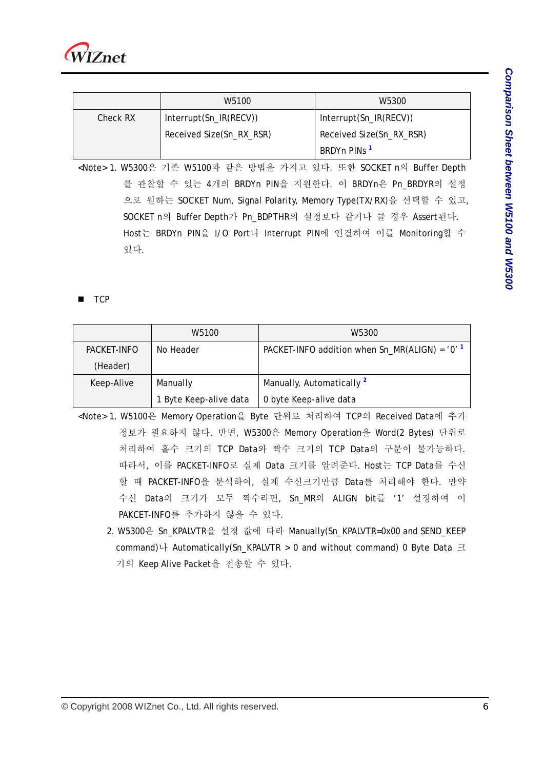

|          | W5100                    | W5300                    |
|----------|--------------------------|--------------------------|
| Check RX | Interrupt(Sn_IR(RECV))   | Interrupt(Sn_IR(RECV))   |
|          | Received Size(Sn_RX_RSR) | Received Size(Sn_RX_RSR) |
|          |                          | BRDYn PINs <sup>1</sup>  |

<Note> 1. W5300은 기존 W5100과 같은 방법을 가지고 있다. 또한 SOCKET n의 Buffer Depth 를 관찰할 수 있는 4개의 BRDYn PIN을 지원한다. 이 BRDYn은 Pn\_BRDYR의 설정 으로 원하는 SOCKET Num, Signal Polarity, Memory Type(TX/RX)을 선택할 수 있고, SOCKET n의 Buffer Depth가 Pn\_BDPTHR의 설정보다 같거나 클 경우 Assert된다. Host는 BRDYn PIN을 I/O Port나 Interrupt PIN에 연결하여 이를 Monitoring할 수 있다.

**TCP** 

|             | W <sub>5100</sub>      | W5300                                                       |
|-------------|------------------------|-------------------------------------------------------------|
| PACKET-INFO | No Header              | PACKET-INFO addition when $Sn_MR(ALIGN) = '0'$ <sup>1</sup> |
| (Header)    |                        |                                                             |
| Keep-Alive  | Manually               | Manually, Automatically <sup>2</sup>                        |
|             | 1 Byte Keep-alive data | 0 byte Keep-alive data                                      |

- <Note> 1. W5100은 Memory Operation을 Byte 단위로 처리하여 TCP의 Received Data에 추가 정보가 필요하지 않다. 반면, W5300은 Memory Operation을 Word(2 Bytes) 단위로 처리하여 홀수 크기의 TCP Data와 짝수 크기의 TCP Data의 구분이 불가능하다. 따라서, 이를 PACKET-INFO로 실제 Data 크기를 알려준다. Host는 TCP Data를 수신 할 때 PACKET-INFO을 분석하여, 실제 수신크기만큼 Data를 처리해야 한다. 만약 수신 Data의 크기가 모두 짝수라면, Sn\_MR의 ALIGN bit를 '1' 설정하여 이 PAKCET-INFO를 추가하지 않을 수 있다.
	- 2. W5300은 Sn\_KPALVTR을 설정 값에 따라 Manually(Sn\_KPALVTR=0x00 and SEND\_KEEP command)나 Automatically(Sn\_KPALVTR > 0 and without command) 0 Byte Data 크 기의 Keep Alive Packet을 전송할 수 있다.